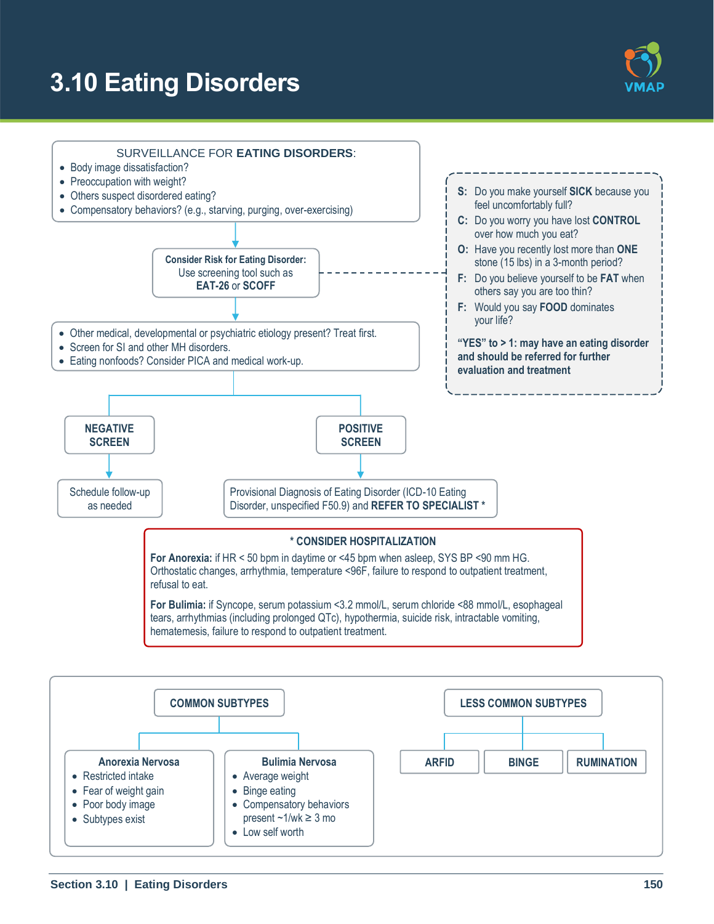# **3.10 Eating Disorders**





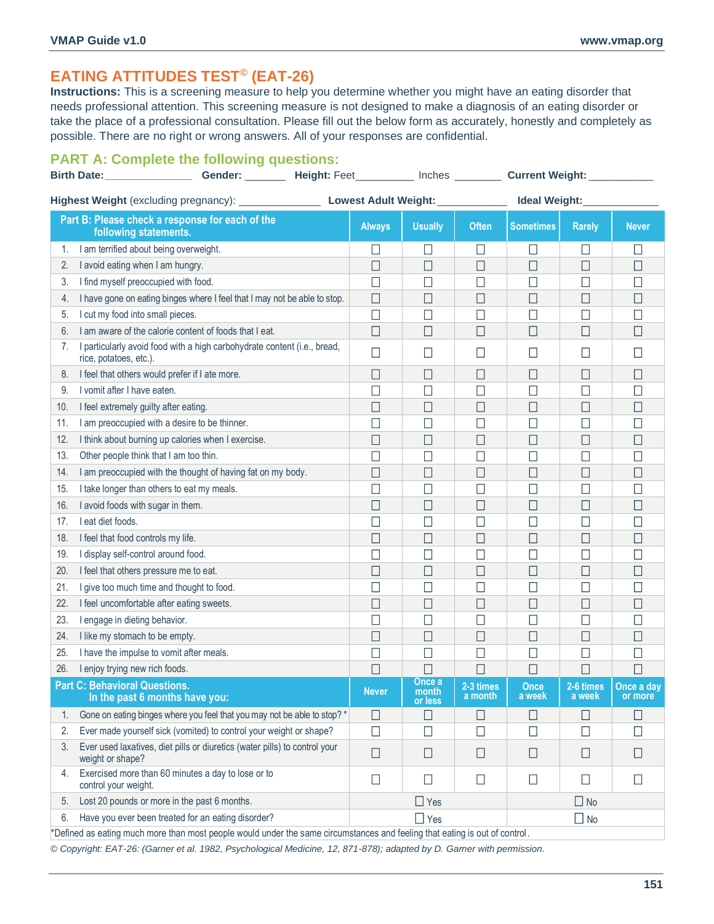# **EATING ATTITUDES TEST© (EAT-26)**

**Instructions:** This is a screening measure to help you determine whether you might have an eating disorder that needs professional attention. This screening measure is not designed to make a diagnosis of an eating disorder or take the place of a professional consultation. Please fill out the below form as accurately, honestly and completely as possible. There are no right or wrong answers. All of your responses are confidential.

## **PART A: Complete the following questions:**

|                                                                                                                             | Gender: _________ Height: Feet __________ Inches ________<br><b>Birth Date: _________________</b>    |               |                            |                      | Current Weight: ___________ |                     |                       |
|-----------------------------------------------------------------------------------------------------------------------------|------------------------------------------------------------------------------------------------------|---------------|----------------------------|----------------------|-----------------------------|---------------------|-----------------------|
|                                                                                                                             | Highest Weight (excluding pregnancy): ____________________________Lowest Adult Weight: _____________ |               |                            |                      | Ideal Weight:               |                     |                       |
|                                                                                                                             | Part B: Please check a response for each of the<br>following statements.                             | <b>Always</b> | <b>Usually</b>             | <b>Often</b>         | Sometimes                   | <b>Rarely</b>       | <b>Never</b>          |
| 1.                                                                                                                          | I am terrified about being overweight.                                                               | $\Box$        | ∐                          | ⊔                    | $\Box$                      | $\Box$              | $\Box$                |
| 2.                                                                                                                          | I avoid eating when I am hungry.                                                                     | $\Box$        | $\Box$                     | □                    | $\Box$                      | $\Box$              | $\Box$                |
| 3.                                                                                                                          | I find myself preoccupied with food.                                                                 | $\Box$        | □                          | □                    | $\Box$                      | $\Box$              | $\Box$                |
| 4.                                                                                                                          | I have gone on eating binges where I feel that I may not be able to stop.                            | П             | $\Box$                     | H                    | $\Box$                      | □                   | $\Box$                |
| 5.                                                                                                                          | I cut my food into small pieces.                                                                     | □             | $\mathsf{L}$               | $\Box$               | П                           | $\Box$              | $\Box$                |
| 6.                                                                                                                          | I am aware of the calorie content of foods that I eat.                                               | $\Box$        | П                          | □                    | □                           | $\Box$              | $\Box$                |
| 7.                                                                                                                          | I particularly avoid food with a high carbohydrate content (i.e., bread,<br>rice, potatoes, etc.).   | □             | $\Box$                     | ⊔                    | L                           | $\Box$              | П                     |
| 8.                                                                                                                          | I feel that others would prefer if I ate more.                                                       | □             | □                          | □                    | □                           | П                   | $\Box$                |
| 9.                                                                                                                          | I vomit after I have eaten.                                                                          | П             | Ш                          | $\mathbf{L}$         | $\Box$                      | $\Box$              | $\Box$                |
| 10.                                                                                                                         | I feel extremely guilty after eating.                                                                | П             | ⊔                          | $\Box$               | П                           | ⊔                   | $\Box$                |
| 11.                                                                                                                         | I am preoccupied with a desire to be thinner.                                                        |               | П                          | $\Box$               | Г                           | $\Box$              | $\Box$                |
| 12.                                                                                                                         | I think about burning up calories when I exercise.                                                   | □             | $\Box$                     | $\Box$               | □                           | $\Box$              | П                     |
| 13.                                                                                                                         | Other people think that I am too thin.                                                               | $\mathsf{L}$  | $\Box$                     | Ш                    | $\Box$                      | $\Box$              | $\Box$                |
| 14.                                                                                                                         | I am preoccupied with the thought of having fat on my body.                                          | $\Box$        | $\Box$                     | □                    | $\Box$                      | $\Box$              | $\Box$                |
| 15.                                                                                                                         | I take longer than others to eat my meals.                                                           | П             | ∐                          | $\Box$               | $\Box$                      | $\Box$              | Г                     |
| 16.                                                                                                                         | I avoid foods with sugar in them.                                                                    | $\Box$        | $\Box$                     | □                    | $\Box$                      | □                   | $\Box$                |
| 17.                                                                                                                         | I eat diet foods.                                                                                    | $\Box$        | □                          | $\Box$               | П                           | $\Box$              | $\Box$                |
| 18.                                                                                                                         | I feel that food controls my life.                                                                   | $\Box$        | $\Box$                     | $\Box$               | $\Box$                      | $\Box$              | $\Box$                |
| 19.                                                                                                                         | I display self-control around food.                                                                  | $\mathsf{L}$  | Ш                          | Ш                    | $\mathsf{L}$                | $\Box$              | П                     |
| 20.                                                                                                                         | I feel that others pressure me to eat.                                                               | □             | $\Box$                     | $\Box$               | $\Box$                      | $\Box$              | $\Box$                |
| 21.                                                                                                                         | I give too much time and thought to food.                                                            | □             | $\sqcup$                   | $\Box$               | $\Box$                      | $\Box$              | Г                     |
| 22.                                                                                                                         | I feel uncomfortable after eating sweets.                                                            | □             | П                          | ⊔                    | □                           | □                   | $\Box$                |
| 23.                                                                                                                         | I engage in dieting behavior.                                                                        |               | $\Box$                     | □                    | П                           | $\Box$              | П                     |
| 24.                                                                                                                         | I like my stomach to be empty.                                                                       | П             | ⊔                          | $\Box$               | $\Box$                      | $\Box$              | Г                     |
| 25.                                                                                                                         | I have the impulse to vomit after meals.                                                             |               | ∐                          | ⊔                    | $\mathsf{L}$                | $\Box$              | $\Box$                |
| 26.                                                                                                                         | I enjoy trying new rich foods.                                                                       |               | ×                          | $\mathsf{L}$         | L                           | L                   | Г                     |
|                                                                                                                             | <b>Part C: Behavioral Questions.</b><br>In the past 6 months have you:                               | <b>Never</b>  | Once a<br>month<br>or less | 2-3 times<br>a month | <b>Once</b><br>a week       | 2-6 times<br>a week | Once a day<br>or more |
| 1.                                                                                                                          | Gone on eating binges where you feel that you may not be able to stop? *                             | ⊔             | П                          | $\mathsf{L}$         | $\mathsf{L}$                | П                   | $\Box$                |
| 2.                                                                                                                          | Ever made yourself sick (vomited) to control your weight or shape?                                   | $\Box$        | $\Box$                     | $\Box$               | $\Box$                      | $\Box$              | $\Box$                |
| 3.                                                                                                                          | Ever used laxatives, diet pills or diuretics (water pills) to control your<br>weight or shape?       | $\Box$        | $\Box$                     | $\Box$               | $\Box$                      | $\Box$              | $\Box$                |
| 4.                                                                                                                          | Exercised more than 60 minutes a day to lose or to<br>control your weight.                           | $\Box$        | П                          | $\Box$               | $\Box$                      | □                   | $\Box$                |
| 5.                                                                                                                          | Lost 20 pounds or more in the past 6 months.                                                         |               | $\Box$ Yes                 |                      |                             | $\Box$ No           |                       |
| Have you ever been treated for an eating disorder?<br>$\Box$ Yes<br>$\Box$ No<br>6.                                         |                                                                                                      |               |                            |                      |                             |                     |                       |
| *Defined as eating much more than most people would under the same circumstances and feeling that eating is out of control. |                                                                                                      |               |                            |                      |                             |                     |                       |

*© Copyright: EAT-26: (Garner et al. 1982, Psychological Medicine, 12, 871-878); adapted by D. Garner with permission.*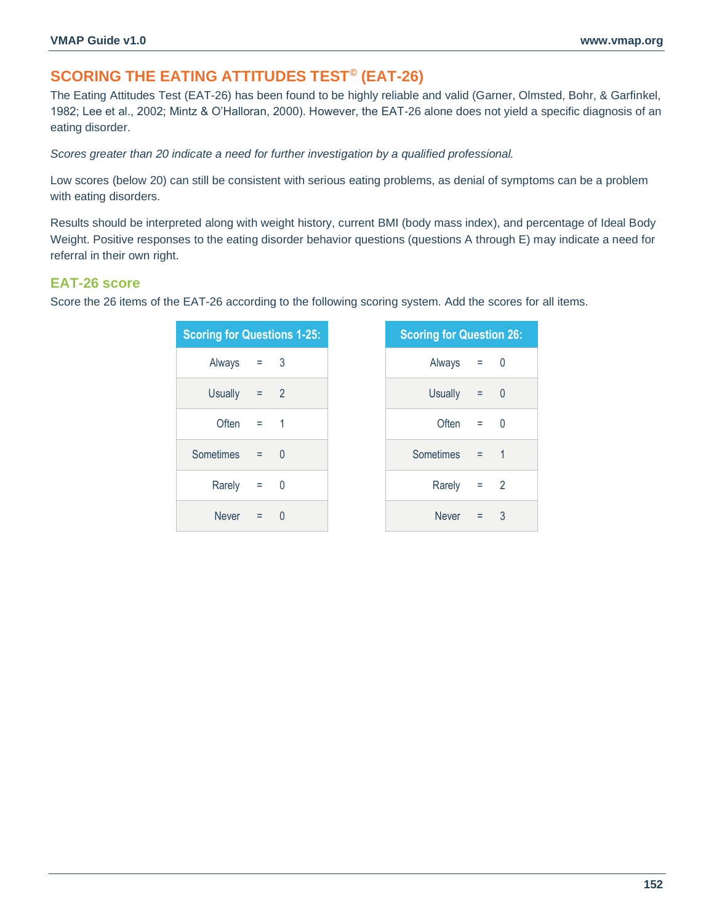# **SCORING THE EATING ATTITUDES TEST© (EAT-26)**

The Eating Attitudes Test (EAT-26) has been found to be highly reliable and valid (Garner, Olmsted, Bohr, & Garfinkel, 1982; Lee et al., 2002; Mintz & O'Halloran, 2000). However, the EAT-26 alone does not yield a specific diagnosis of an eating disorder.

*Scores greater than 20 indicate a need for further investigation by a qualified professional.*

Low scores (below 20) can still be consistent with serious eating problems, as denial of symptoms can be a problem with eating disorders.

Results should be interpreted along with weight history, current BMI (body mass index), and percentage of Ideal Body Weight. Positive responses to the eating disorder behavior questions (questions A through E) may indicate a need for referral in their own right.

**Question 26:** 

## **EAT-26 score**

Score the 26 items of the EAT-26 according to the following scoring system. Add the scores for all items.

| <b>Scoring for Questions 1-25:</b> |       |          | <b>Scoring for Question</b> |
|------------------------------------|-------|----------|-----------------------------|
| Always                             | $=$ 3 |          | Always                      |
| <b>Usually</b>                     | $= 2$ |          | <b>Usually</b>              |
| Often $=$ 1                        |       |          | Often                       |
| Sometimes                          | $= 0$ |          | Sometimes                   |
| Rarely                             | $= 0$ |          | Rarely                      |
| <b>Never</b>                       | $=$   | $\Omega$ | <b>Never</b>                |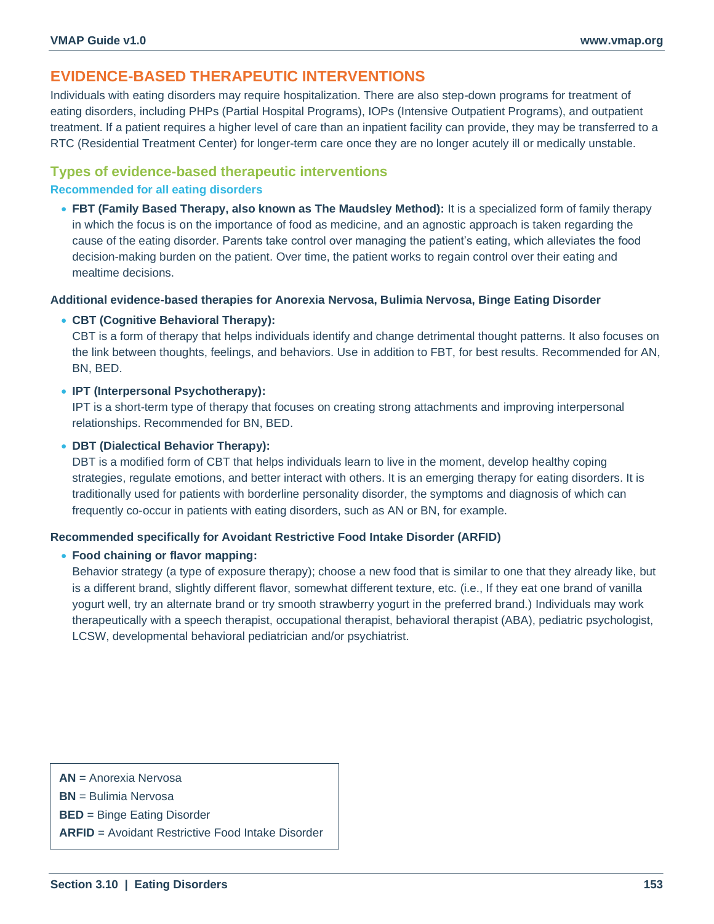# **EVIDENCE-BASED THERAPEUTIC INTERVENTIONS**

Individuals with eating disorders may require hospitalization. There are also step-down programs for treatment of eating disorders, including PHPs (Partial Hospital Programs), IOPs (Intensive Outpatient Programs), and outpatient treatment. If a patient requires a higher level of care than an inpatient facility can provide, they may be transferred to a RTC (Residential Treatment Center) for longer-term care once they are no longer acutely ill or medically unstable.

## **Types of evidence-based therapeutic interventions**

#### **Recommended for all eating disorders**

• **FBT (Family Based Therapy, also known as The Maudsley Method):** It is a specialized form of family therapy in which the focus is on the importance of food as medicine, and an agnostic approach is taken regarding the cause of the eating disorder. Parents take control over managing the patient's eating, which alleviates the food decision-making burden on the patient. Over time, the patient works to regain control over their eating and mealtime decisions.

**Additional evidence-based therapies for Anorexia Nervosa, Bulimia Nervosa, Binge Eating Disorder**

#### • **CBT (Cognitive Behavioral Therapy):**

CBT is a form of therapy that helps individuals identify and change detrimental thought patterns. It also focuses on the link between thoughts, feelings, and behaviors. Use in addition to FBT, for best results. Recommended for AN, BN, BED.

#### • **IPT (Interpersonal Psychotherapy):**

IPT is a short-term type of therapy that focuses on creating strong attachments and improving interpersonal relationships. Recommended for BN, BED.

#### • **DBT (Dialectical Behavior Therapy):**

DBT is a modified form of CBT that helps individuals learn to live in the moment, develop healthy coping strategies, regulate emotions, and better interact with others. It is an emerging therapy for eating disorders. It is traditionally used for patients with borderline personality disorder, the symptoms and diagnosis of which can frequently co-occur in patients with eating disorders, such as AN or BN, for example.

#### **Recommended specifically for Avoidant Restrictive Food Intake Disorder (ARFID)**

#### • **Food chaining or flavor mapping:**

Behavior strategy (a type of exposure therapy); choose a new food that is similar to one that they already like, but is a different brand, slightly different flavor, somewhat different texture, etc. (i.e., If they eat one brand of vanilla yogurt well, try an alternate brand or try smooth strawberry yogurt in the preferred brand.) Individuals may work therapeutically with a speech therapist, occupational therapist, behavioral therapist (ABA), pediatric psychologist, LCSW, developmental behavioral pediatrician and/or psychiatrist.

**AN** = Anorexia Nervosa

**BN** = Bulimia Nervosa

**BED** = Binge Eating Disorder

**ARFID** = Avoidant Restrictive Food Intake Disorder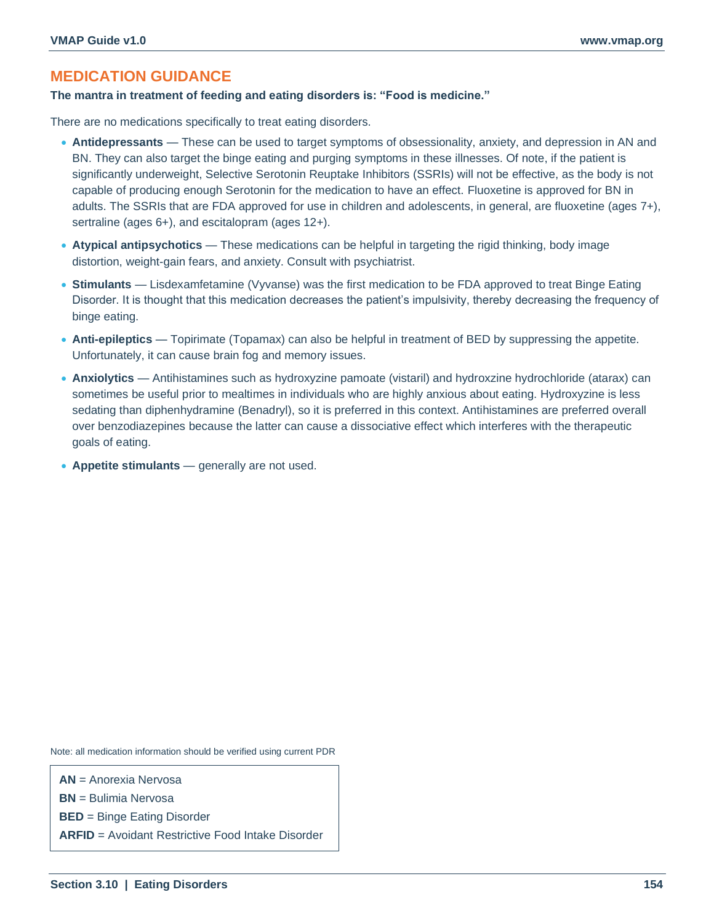# **MEDICATION GUIDANCE**

#### **The mantra in treatment of feeding and eating disorders is: "Food is medicine."**

There are no medications specifically to treat eating disorders.

- **Antidepressants** These can be used to target symptoms of obsessionality, anxiety, and depression in AN and BN. They can also target the binge eating and purging symptoms in these illnesses. Of note, if the patient is significantly underweight, Selective Serotonin Reuptake Inhibitors (SSRIs) will not be effective, as the body is not capable of producing enough Serotonin for the medication to have an effect. Fluoxetine is approved for BN in adults. The SSRIs that are FDA approved for use in children and adolescents, in general, are fluoxetine (ages 7+), sertraline (ages 6+), and escitalopram (ages 12+).
- **Atypical antipsychotics** These medications can be helpful in targeting the rigid thinking, body image distortion, weight-gain fears, and anxiety. Consult with psychiatrist.
- **Stimulants** Lisdexamfetamine (Vyvanse) was the first medication to be FDA approved to treat Binge Eating Disorder. It is thought that this medication decreases the patient's impulsivity, thereby decreasing the frequency of binge eating.
- **Anti-epileptics** Topirimate (Topamax) can also be helpful in treatment of BED by suppressing the appetite. Unfortunately, it can cause brain fog and memory issues.
- **Anxiolytics** Antihistamines such as hydroxyzine pamoate (vistaril) and hydroxzine hydrochloride (atarax) can sometimes be useful prior to mealtimes in individuals who are highly anxious about eating. Hydroxyzine is less sedating than diphenhydramine (Benadryl), so it is preferred in this context. Antihistamines are preferred overall over benzodiazepines because the latter can cause a dissociative effect which interferes with the therapeutic goals of eating.
- **Appetite stimulants** generally are not used.

Note: all medication information should be verified using current PDR

**AN** = Anorexia Nervosa

**BN** = Bulimia Nervosa

**BED** = Binge Eating Disorder

**ARFID** = Avoidant Restrictive Food Intake Disorder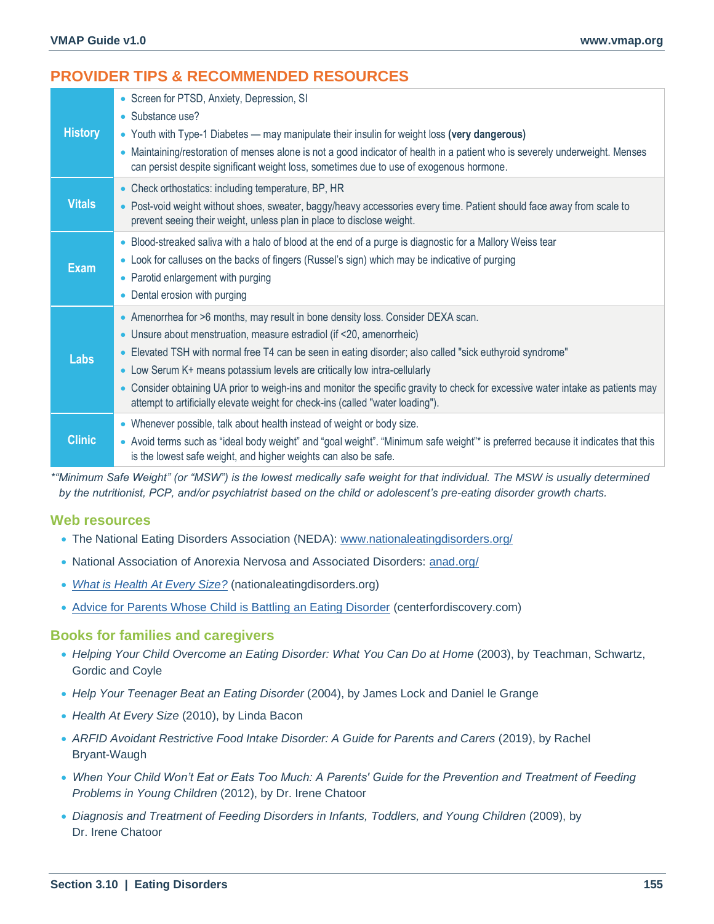# **PROVIDER TIPS & RECOMMENDED RESOURCES**

| <b>History</b> | • Screen for PTSD, Anxiety, Depression, SI<br>• Substance use?<br>• Youth with Type-1 Diabetes — may manipulate their insulin for weight loss (very dangerous)<br>• Maintaining/restoration of menses alone is not a good indicator of health in a patient who is severely underweight. Menses<br>can persist despite significant weight loss, sometimes due to use of exogenous hormone.                                                                                                                                                                              |
|----------------|------------------------------------------------------------------------------------------------------------------------------------------------------------------------------------------------------------------------------------------------------------------------------------------------------------------------------------------------------------------------------------------------------------------------------------------------------------------------------------------------------------------------------------------------------------------------|
| <b>Vitals</b>  | • Check orthostatics: including temperature, BP, HR<br>• Post-void weight without shoes, sweater, baggy/heavy accessories every time. Patient should face away from scale to<br>prevent seeing their weight, unless plan in place to disclose weight.                                                                                                                                                                                                                                                                                                                  |
| <b>Exam</b>    | • Blood-streaked saliva with a halo of blood at the end of a purge is diagnostic for a Mallory Weiss tear<br>• Look for calluses on the backs of fingers (Russel's sign) which may be indicative of purging<br>• Parotid enlargement with purging<br>• Dental erosion with purging                                                                                                                                                                                                                                                                                     |
| Labs           | • Amenorrhea for >6 months, may result in bone density loss. Consider DEXA scan.<br>• Unsure about menstruation, measure estradiol (if <20, amenorrheic)<br>• Elevated TSH with normal free T4 can be seen in eating disorder; also called "sick euthyroid syndrome"<br>• Low Serum K+ means potassium levels are critically low intra-cellularly<br>• Consider obtaining UA prior to weigh-ins and monitor the specific gravity to check for excessive water intake as patients may<br>attempt to artificially elevate weight for check-ins (called "water loading"). |
| <b>Clinic</b>  | • Whenever possible, talk about health instead of weight or body size.<br>. Avoid terms such as "ideal body weight" and "goal weight". "Minimum safe weight"* is preferred because it indicates that this<br>is the lowest safe weight, and higher weights can also be safe.                                                                                                                                                                                                                                                                                           |

*\*"Minimum Safe Weight" (or "MSW") is the lowest medically safe weight for that individual. The MSW is usually determined by the nutritionist, PCP, and/or psychiatrist based on the child or adolescent's pre-eating disorder growth charts.*

## **Web resources**

- The National Eating Disorders Association (NEDA): [www.nationaleatingdisorders.org/](https://www.nationaleatingdisorders.org/)
- National Association of Anorexia Nervosa and Associated Disorders: [anad.org/](https://anad.org/)
- *[What is Health At Every Size?](https://www.nationaleatingdisorders.org/sites/default/files/ResourceHandouts/WhatisHealthAtEverySize.pdf)* (nationaleatingdisorders.org)
- [Advice for Parents Whose Child is Battling an Eating Disorder](https://centerfordiscovery.com/blog/eating-disorders-parenting-advice-advice-for-parents-whose-child-is-battling-an-eating-disorder) (centerfordiscovery.com)

#### **Books for families and caregivers**

- *Helping Your Child Overcome an Eating Disorder: What You Can Do at Home* (2003), by Teachman, Schwartz, Gordic and Coyle
- *Help Your Teenager Beat an Eating Disorder* (2004), by James Lock and Daniel le Grange
- *Health At Every Size* (2010), by Linda Bacon
- *ARFID Avoidant Restrictive Food Intake Disorder: A Guide for Parents and Carers* (2019), by Rachel Bryant-Waugh
- *When Your Child Won't Eat or Eats Too Much: A Parents' Guide for the Prevention and Treatment of Feeding Problems in Young Children* (2012), by Dr. Irene Chatoor
- Diagnosis and Treatment of Feeding Disorders in Infants, Toddlers, and Young Children (2009), by Dr. Irene Chatoor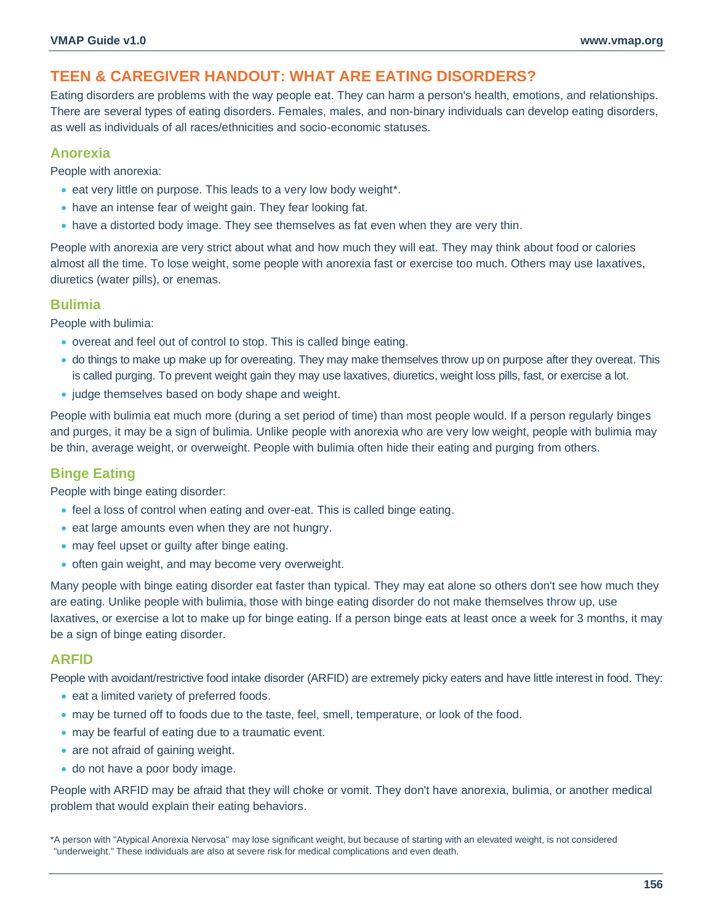# **TEEN & CAREGIVER HANDOUT: WHAT ARE EATING DISORDERS?**

Eating disorders are problems with the way people eat. They can harm a person's health, emotions, and relationships. There are several types of eating disorders. Females, males, and non-binary individuals can develop eating disorders, as well as individuals of all races/ethnicities and socio-economic statuses.

## **Anorexia**

People with anorexia:

- eat very little on purpose. This leads to a very low body weight\*.
- have an intense fear of weight gain. They fear looking fat.
- have a distorted body image. They see themselves as fat even when they are very thin.

People with anorexia are very strict about what and how much they will eat. They may think about food or calories almost all the time. To lose weight, some people with anorexia fast or exercise too much. Others may use laxatives, diuretics (water pills), or enemas.

## **Bulimia**

People with bulimia:

- overeat and feel out of control to stop. This is called binge eating.
- do things to make up make up for overeating. They may make themselves throw up on purpose after they overeat. This is called purging. To prevent weight gain they may use laxatives, diuretics, weight loss pills, fast, or exercise a lot.
- judge themselves based on body shape and weight.

People with bulimia eat much more (during a set period of time) than most people would. If a person regularly binges and purges, it may be a sign of bulimia. Unlike people with anorexia who are very low weight, people with bulimia may be thin, average weight, or overweight. People with bulimia often hide their eating and purging from others.

## **Binge Eating**

People with binge eating disorder:

- feel a loss of control when eating and over-eat. This is called binge eating.
- eat large amounts even when they are not hungry.
- may feel upset or guilty after binge eating.
- often gain weight, and may become very overweight.

Many people with binge eating disorder eat faster than typical. They may eat alone so others don't see how much they are eating. Unlike people with bulimia, those with binge eating disorder do not make themselves throw up, use laxatives, or exercise a lot to make up for binge eating. If a person binge eats at least once a week for 3 months, it may be a sign of binge eating disorder.

## **ARFID**

People with avoidant/restrictive food intake disorder (ARFID) are extremely picky eaters and have little interest in food. They:

- eat a limited variety of preferred foods.
- may be turned off to foods due to the taste, feel, smell, temperature, or look of the food.
- may be fearful of eating due to a traumatic event.
- are not afraid of gaining weight.
- do not have a poor body image.

People with ARFID may be afraid that they will choke or vomit. They don't have anorexia, bulimia, or another medical problem that would explain their eating behaviors.

\*A person with "Atypical Anorexia Nervosa" may lose significant weight, but because of starting with an elevated weight, is not considered "underweight." These individuals are also at severe risk for medical complications and even death.